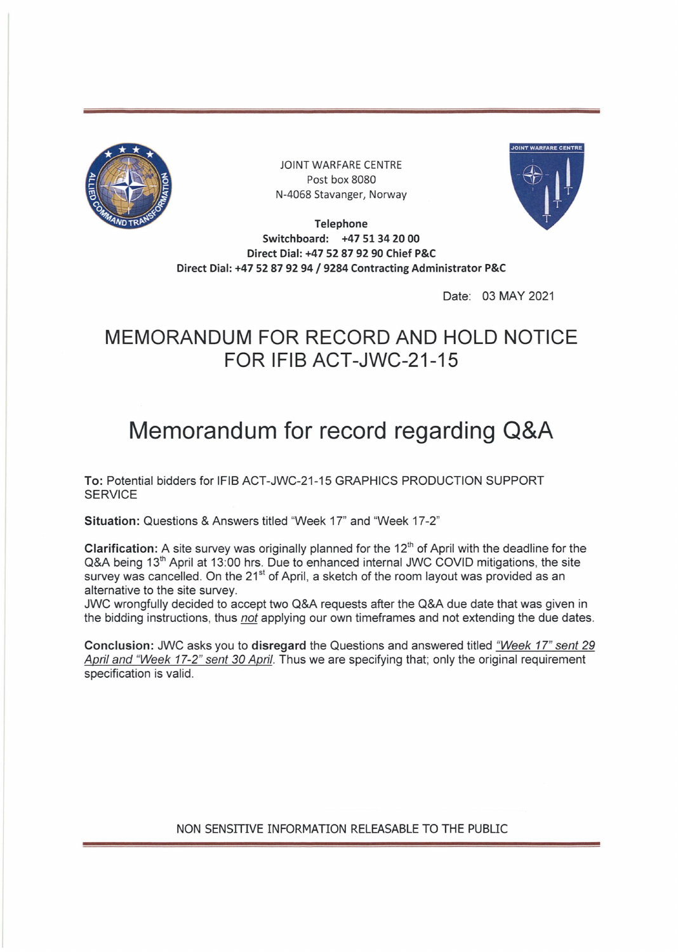

JOINT WARFARE CENTRE Post box 8080 N-4068 Stavanger, Norway



**Telephone Switchboard: +47 51 34 20 00 Direct Dial: +47 52 87 92 90 Chief P&C Direct Dial: +47 <sup>52</sup> <sup>87</sup> 92 94 / 9284 Contracting Administrator P&C**

Date: 03 MAY 2021

## **MEMORANDUM FOR RECORD AND HOLD NOTICE FOR IFIB ACT-JWC-21-15**

## **Memorandum for record regarding Q&A**

**To:** Potential bidders for IFIB ACT-JVWC-21-15 GRAPHICS PRODUCTION SUPPORT **SERVICE** 

**Situation:** Questions & Answers titled "Week 17" and "Week 17-2"

**Clarification:** A site survey was originally planned for the 12" of April with the deadline for the Q&A being 13<sup>th</sup> April at 13:00 hrs. Due to enhanced internal JWC COVID mitigations, the site survey was cancelled. On the 21<sup>st</sup> of April, a sketch of the room layout was provided as an alternative to the site survey.

JWC wrongfully decided to accept two Q&A requests after the Q&A due date that was given in the bidding instructions, thus *not* applying our own timeframes and not extending the due dates.

Conclusion: JWC asks you to disregard the Questions and answered titled *"Week 17" sent <sup>29</sup> April and "Week 17-2" sent <sup>30</sup> April.* Thus we are specifying that; only the original requirement specification is valid.

NON SENSITIVE INFORMATION RELEASABLE TO THE PUBLIC